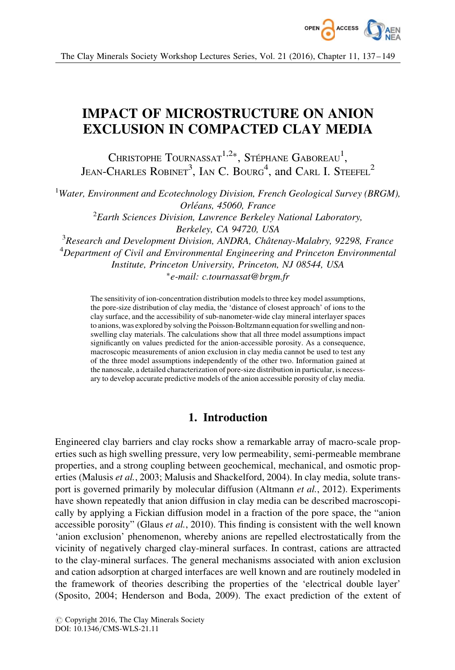

# IMPACT OF MICROSTRUCTURE ON ANION EXCLUSION IN COMPACTED CLAY MEDIA

CHRISTOPHE  $\mathrm{T}$ OURNASSAT $^{1,2*},$  Stéphane Gaboreau $^{1},$ JEAN-CHARLES ROBINET<sup>3</sup>, IAN C. BOURG<sup>4</sup>, and CARL I. STEEFEL<sup>2</sup>

<sup>1</sup>Water, Environment and Ecotechnology Division, French Geological Survey (BRGM), Orléans, 45060, France  ${}^{2}$ Earth Sciences Division, Lawrence Berkeley National Laboratory, Berkeley, CA 94720, USA  $3$ Research and Development Division, ANDRA, Châtenay-Malabry, 92298, France <sup>4</sup>Department of Civil and Environmental Engineering and Princeton Environmental Institute, Princeton University, Princeton, NJ 08544, USA -e-mail: c.tournassat@brgm.fr

The sensitivity of ion-concentration distribution models to three key model assumptions, the pore-size distribution of clay media, the 'distance of closest approach' of ions to the clay surface, and the accessibility of sub-nanometer-wide clay mineral interlayer spaces to anions, was explored by solving the Poisson-Boltzmann equation for swelling and nonswelling clay materials. The calculations show that all three model assumptions impact significantly on values predicted for the anion-accessible porosity. As a consequence, macroscopic measurements of anion exclusion in clay media cannot be used to test any of the three model assumptions independently of the other two. Information gained at the nanoscale, a detailed characterization of pore-size distribution in particular, is necessary to develop accurate predictive models of the anion accessible porosity of clay media.

# 1. Introduction

Engineered clay barriers and clay rocks show a remarkable array of macro-scale properties such as high swelling pressure, very low permeability, semi-permeable membrane properties, and a strong coupling between geochemical, mechanical, and osmotic properties (Malusis *et al.*, 2003; Malusis and Shackelford, 2004). In clay media, solute transport is governed primarily by molecular diffusion (Altmann *et al.*, 2012). Experiments have shown repeatedly that anion diffusion in clay media can be described macroscopically by applying a Fickian diffusion model in a fraction of the pore space, the "anion accessible porosity" (Glaus et al., 2010). This finding is consistent with the well known 'anion exclusion' phenomenon, whereby anions are repelled electrostatically from the vicinity of negatively charged clay-mineral surfaces. In contrast, cations are attracted to the clay-mineral surfaces. The general mechanisms associated with anion exclusion and cation adsorption at charged interfaces are well known and are routinely modeled in the framework of theories describing the properties of the 'electrical double layer' (Sposito, 2004; Henderson and Boda, 2009). The exact prediction of the extent of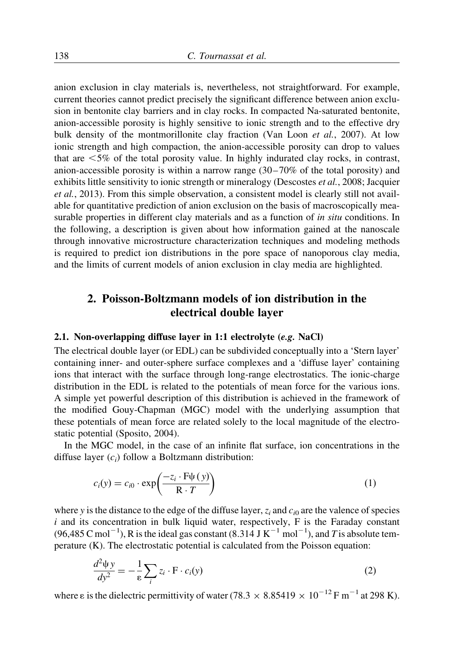anion exclusion in clay materials is, nevertheless, not straightforward. For example, current theories cannot predict precisely the significant difference between anion exclusion in bentonite clay barriers and in clay rocks. In compacted Na-saturated bentonite, anion-accessible porosity is highly sensitive to ionic strength and to the effective dry bulk density of the montmorillonite clay fraction (Van Loon et al., 2007). At low ionic strength and high compaction, the anion-accessible porosity can drop to values that are  $\leq 5\%$  of the total porosity value. In highly indurated clay rocks, in contrast, anion-accessible porosity is within a narrow range (30–70% of the total porosity) and exhibits little sensitivity to ionic strength or mineralogy (Descostes *et al.*, 2008; Jacquier et al., 2013). From this simple observation, a consistent model is clearly still not available for quantitative prediction of anion exclusion on the basis of macroscopically measurable properties in different clay materials and as a function of *in situ* conditions. In the following, a description is given about how information gained at the nanoscale through innovative microstructure characterization techniques and modeling methods is required to predict ion distributions in the pore space of nanoporous clay media, and the limits of current models of anion exclusion in clay media are highlighted.

# 2. Poisson-Boltzmann models of ion distribution in the electrical double layer

#### 2.1. Non-overlapping diffuse layer in 1:1 electrolyte (e.g. NaCl)

The electrical double layer (or EDL) can be subdivided conceptually into a 'Stern layer' containing inner- and outer-sphere surface complexes and a 'diffuse layer' containing ions that interact with the surface through long-range electrostatics. The ionic-charge distribution in the EDL is related to the potentials of mean force for the various ions. A simple yet powerful description of this distribution is achieved in the framework of the modified Gouy-Chapman (MGC) model with the underlying assumption that these potentials of mean force are related solely to the local magnitude of the electrostatic potential (Sposito, 2004).

In the MGC model, in the case of an infinite flat surface, ion concentrations in the diffuse layer  $(c_i)$  follow a Boltzmann distribution:

$$
c_i(y) = c_{i0} \cdot \exp\left(\frac{-z_i \cdot F \psi(y)}{R \cdot T}\right) \tag{1}
$$

where y is the distance to the edge of the diffuse layer,  $z_i$  and  $c_i$  are the valence of species  $i$  and its concentration in bulk liquid water, respectively,  $F$  is the Faraday constant  $(96,485 \text{ C mol}^{-1})$ , R is the ideal gas constant  $(8.314 \text{ J K}^{-1} \text{ mol}^{-1})$ , and T is absolute temperature (K). The electrostatic potential is calculated from the Poisson equation:

$$
\frac{d^2\psi y}{dy^2} = -\frac{1}{\varepsilon} \sum_i z_i \cdot \mathbf{F} \cdot c_i(y)
$$
\n(2)

where  $\varepsilon$  is the dielectric permittivity of water (78.3  $\times$  8.85419  $\times$  10<sup>-12</sup> F m<sup>-1</sup> at 298 K).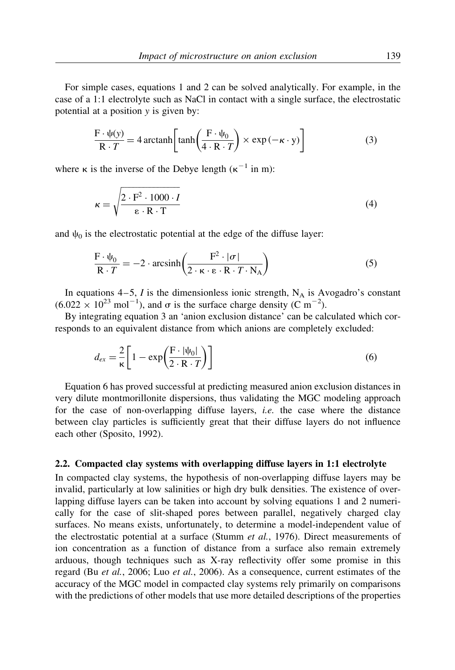For simple cases, equations 1 and 2 can be solved analytically. For example, in the case of a 1:1 electrolyte such as NaCl in contact with a single surface, the electrostatic potential at a position y is given by:

$$
\frac{\mathbf{F} \cdot \psi(\mathbf{y})}{\mathbf{R} \cdot T} = 4 \arctanh\left[\tanh\left(\frac{\mathbf{F} \cdot \psi_0}{4 \cdot \mathbf{R} \cdot T}\right) \times \exp\left(-\kappa \cdot \mathbf{y}\right)\right]
$$
(3)

where  $\kappa$  is the inverse of the Debye length ( $\kappa^{-1}$  in m):

$$
\kappa = \sqrt{\frac{2 \cdot F^2 \cdot 1000 \cdot I}{\epsilon \cdot R \cdot T}}
$$
(4)

and  $\psi_0$  is the electrostatic potential at the edge of the diffuse layer:

$$
\frac{\mathbf{F} \cdot \psi_0}{\mathbf{R} \cdot T} = -2 \cdot \operatorname{arcsinh}\left(\frac{\mathbf{F}^2 \cdot |\sigma|}{2 \cdot \kappa \cdot \mathbf{\epsilon} \cdot \mathbf{R} \cdot T \cdot \mathbf{N}_A}\right) \tag{5}
$$

In equations  $4-5$ , I is the dimensionless ionic strength,  $N_A$  is Avogadro's constant  $(6.022 \times 10^{23} \text{ mol}^{-1})$ , and  $\sigma$  is the surface charge density (C m<sup>-2</sup>).

By integrating equation 3 an 'anion exclusion distance' can be calculated which corresponds to an equivalent distance from which anions are completely excluded:

$$
d_{ex} = \frac{2}{\kappa} \left[ 1 - \exp\left(\frac{F \cdot |\psi_0|}{2 \cdot R \cdot T}\right) \right]
$$
 (6)

Equation 6 has proved successful at predicting measured anion exclusion distances in very dilute montmorillonite dispersions, thus validating the MGC modeling approach for the case of non-overlapping diffuse layers, i.e. the case where the distance between clay particles is sufficiently great that their diffuse layers do not influence each other (Sposito, 1992).

#### 2.2. Compacted clay systems with overlapping diffuse layers in 1:1 electrolyte

In compacted clay systems, the hypothesis of non-overlapping diffuse layers may be invalid, particularly at low salinities or high dry bulk densities. The existence of overlapping diffuse layers can be taken into account by solving equations 1 and 2 numerically for the case of slit-shaped pores between parallel, negatively charged clay surfaces. No means exists, unfortunately, to determine a model-independent value of the electrostatic potential at a surface (Stumm et al., 1976). Direct measurements of ion concentration as a function of distance from a surface also remain extremely arduous, though techniques such as X-ray reflectivity offer some promise in this regard (Bu et al., 2006; Luo et al., 2006). As a consequence, current estimates of the accuracy of the MGC model in compacted clay systems rely primarily on comparisons with the predictions of other models that use more detailed descriptions of the properties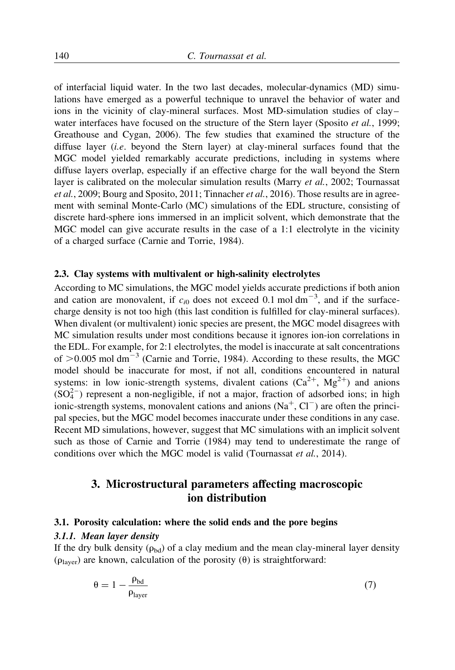of interfacial liquid water. In the two last decades, molecular-dynamics (MD) simulations have emerged as a powerful technique to unravel the behavior of water and ions in the vicinity of clay-mineral surfaces. Most MD-simulation studies of clay– water interfaces have focused on the structure of the Stern layer (Sposito et al., 1999; Greathouse and Cygan, 2006). The few studies that examined the structure of the diffuse layer (*i.e.* beyond the Stern layer) at clay-mineral surfaces found that the MGC model yielded remarkably accurate predictions, including in systems where diffuse layers overlap, especially if an effective charge for the wall beyond the Stern layer is calibrated on the molecular simulation results (Marry *et al.*, 2002; Tournassat et al., 2009; Bourg and Sposito, 2011; Tinnacher et al., 2016). Those results are in agreement with seminal Monte-Carlo (MC) simulations of the EDL structure, consisting of discrete hard-sphere ions immersed in an implicit solvent, which demonstrate that the MGC model can give accurate results in the case of a 1:1 electrolyte in the vicinity of a charged surface (Carnie and Torrie, 1984).

### 2.3. Clay systems with multivalent or high-salinity electrolytes

According to MC simulations, the MGC model yields accurate predictions if both anion and cation are monovalent, if  $c_{i0}$  does not exceed 0.1 mol dm<sup>-3</sup>, and if the surfacecharge density is not too high (this last condition is fulfilled for clay-mineral surfaces). When divalent (or multivalent) ionic species are present, the MGC model disagrees with MC simulation results under most conditions because it ignores ion-ion correlations in the EDL. For example, for 2:1 electrolytes, the model is inaccurate at salt concentrations of  $>0.005$  mol dm<sup>-3</sup> (Carnie and Torrie, 1984). According to these results, the MGC model should be inaccurate for most, if not all, conditions encountered in natural systems: in low ionic-strength systems, divalent cations  $(Ca^{2+}, Mg^{2+})$  and anions  $(SO<sub>4</sub><sup>2</sup>)$  represent a non-negligible, if not a major, fraction of adsorbed ions; in high ionic-strength systems, monovalent cations and anions  $(Na^+, Cl^-)$  are often the principal species, but the MGC model becomes inaccurate under these conditions in any case. Recent MD simulations, however, suggest that MC simulations with an implicit solvent such as those of Carnie and Torrie (1984) may tend to underestimate the range of conditions over which the MGC model is valid (Tournassat et al., 2014).

# 3. Microstructural parameters affecting macroscopic ion distribution

#### 3.1. Porosity calculation: where the solid ends and the pore begins

### 3.1.1. Mean layer density

If the dry bulk density ( $\rho_{bd}$ ) of a clay medium and the mean clay-mineral layer density ( $\rho_{\text{layer}}$ ) are known, calculation of the porosity ( $\theta$ ) is straightforward:

$$
\theta = 1 - \frac{\rho_{bd}}{\rho_{layer}}\tag{7}
$$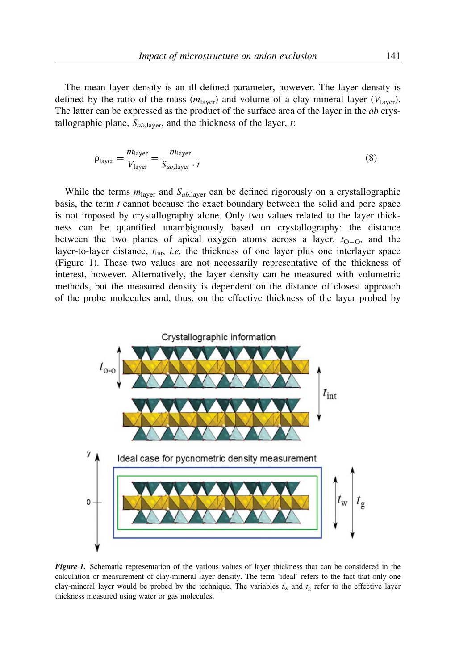The mean layer density is an ill-defined parameter, however. The layer density is defined by the ratio of the mass  $(m_{\text{layer}})$  and volume of a clay mineral layer  $(V_{\text{layer}})$ . The latter can be expressed as the product of the surface area of the layer in the *ab* crystallographic plane,  $S_{ab,layer}$ , and the thickness of the layer, t:

$$
\rho_{\text{layer}} = \frac{m_{\text{layer}}}{V_{\text{layer}}} = \frac{m_{\text{layer}}}{S_{ab,\text{layer}} \cdot t} \tag{8}
$$

While the terms  $m<sub>layer</sub>$  and  $S<sub>ab,layer</sub>$  can be defined rigorously on a crystallographic basis, the term t cannot because the exact boundary between the solid and pore space is not imposed by crystallography alone. Only two values related to the layer thickness can be quantified unambiguously based on crystallography: the distance between the two planes of apical oxygen atoms across a layer,  $t_{O-O}$ , and the layer-to-layer distance,  $t_{\text{int}}$ , i.e. the thickness of one layer plus one interlayer space (Figure 1). These two values are not necessarily representative of the thickness of interest, however. Alternatively, the layer density can be measured with volumetric methods, but the measured density is dependent on the distance of closest approach of the probe molecules and, thus, on the effective thickness of the layer probed by



Figure 1. Schematic representation of the various values of layer thickness that can be considered in the calculation or measurement of clay-mineral layer density. The term 'ideal' refers to the fact that only one clay-mineral layer would be probed by the technique. The variables  $t_w$  and  $t_g$  refer to the effective layer thickness measured using water or gas molecules.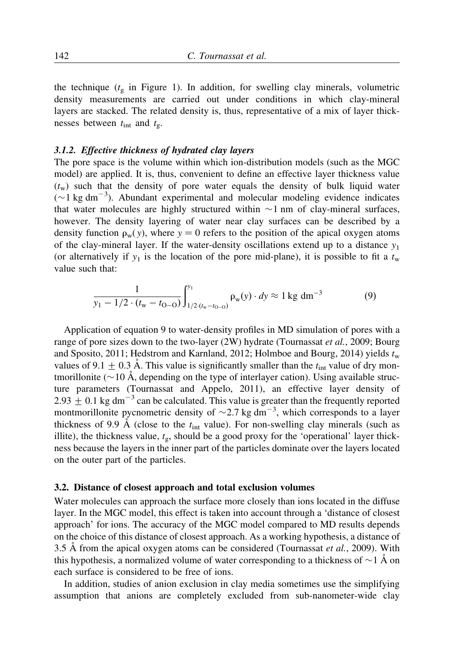the technique  $(t<sub>s</sub>$  in Figure 1). In addition, for swelling clay minerals, volumetric density measurements are carried out under conditions in which clay-mineral layers are stacked. The related density is, thus, representative of a mix of layer thicknesses between  $t_{\text{int}}$  and  $t_{\text{g}}$ .

#### 3.1.2. Effective thickness of hydrated clay layers

The pore space is the volume within which ion-distribution models (such as the MGC model) are applied. It is, thus, convenient to define an effective layer thickness value  $(t_w)$  such that the density of pore water equals the density of bulk liquid water  $(\sim 1 \text{ kg dm}^{-3})$ . Abundant experimental and molecular modeling evidence indicates that water molecules are highly structured within  $\sim$ 1 nm of clay-mineral surfaces, however. The density layering of water near clay surfaces can be described by a density function  $\rho_w(y)$ , where  $y = 0$  refers to the position of the apical oxygen atoms of the clay-mineral layer. If the water-density oscillations extend up to a distance  $y_1$ (or alternatively if  $y_1$  is the location of the pore mid-plane), it is possible to fit a  $t_w$ value such that:

$$
\frac{1}{y_1 - 1/2 \cdot (t_w - t_{0-0})} \int_{1/2 \cdot (t_w - t_{0-0})}^{y_1} \rho_w(y) \cdot dy \approx 1 \text{ kg dm}^{-3}
$$
(9)

Application of equation 9 to water-density profiles in MD simulation of pores with a range of pore sizes down to the two-layer (2W) hydrate (Tournassat et al., 2009; Bourg and Sposito, 2011; Hedstrom and Karnland, 2012; Holmboe and Bourg, 2014) yields  $t_w$ values of 9.1  $\pm$  0.3 Å. This value is significantly smaller than the  $t_{\text{int}}$  value of dry montmorillonite ( $\sim$ 10 Å, depending on the type of interlayer cation). Using available structure parameters (Tournassat and Appelo, 2011), an effective layer density of 2.93  $\pm$  0.1 kg dm<sup>-3</sup> can be calculated. This value is greater than the frequently reported montmorillonite pycnometric density of  $\sim$  2.7 kg dm<sup>-3</sup>, which corresponds to a layer thickness of 9.9 Å (close to the  $t_{int}$  value). For non-swelling clay minerals (such as illite), the thickness value,  $t_{\sigma}$ , should be a good proxy for the 'operational' layer thickness because the layers in the inner part of the particles dominate over the layers located on the outer part of the particles.

#### 3.2. Distance of closest approach and total exclusion volumes

Water molecules can approach the surface more closely than ions located in the diffuse layer. In the MGC model, this effect is taken into account through a 'distance of closest approach' for ions. The accuracy of the MGC model compared to MD results depends on the choice of this distance of closest approach. As a working hypothesis, a distance of 3.5 Å from the apical oxygen atoms can be considered (Tournassat *et al.*, 2009). With this hypothesis, a normalized volume of water corresponding to a thickness of  $\sim$  1 Å on each surface is considered to be free of ions.

In addition, studies of anion exclusion in clay media sometimes use the simplifying assumption that anions are completely excluded from sub-nanometer-wide clay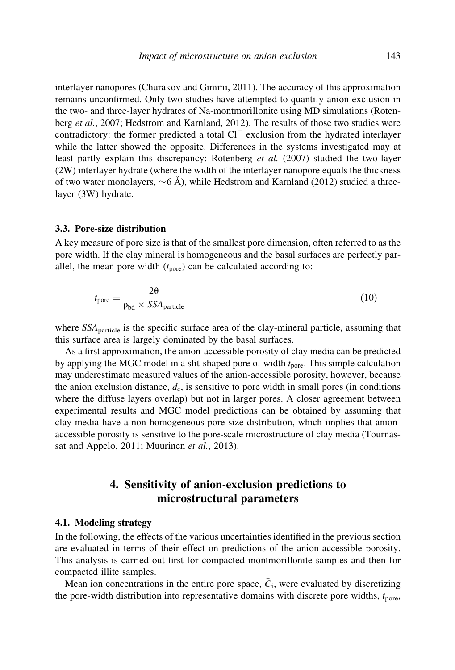interlayer nanopores (Churakov and Gimmi, 2011). The accuracy of this approximation remains unconfirmed. Only two studies have attempted to quantify anion exclusion in the two- and three-layer hydrates of Na-montmorillonite using MD simulations (Rotenberg et al., 2007; Hedstrom and Karnland, 2012). The results of those two studies were contradictory: the former predicted a total  $Cl^-$  exclusion from the hydrated interlayer while the latter showed the opposite. Differences in the systems investigated may at least partly explain this discrepancy: Rotenberg et al. (2007) studied the two-layer (2W) interlayer hydrate (where the width of the interlayer nanopore equals the thickness of two water monolayers,  $\sim$  6 Å), while Hedstrom and Karnland (2012) studied a threelayer (3W) hydrate.

#### 3.3. Pore-size distribution

A key measure of pore size is that of the smallest pore dimension, often referred to as the pore width. If the clay mineral is homogeneous and the basal surfaces are perfectly parallel, the mean pore width  $(\overline{t_{\text{pore}}})$  can be calculated according to:

$$
\overline{t_{\text{pore}}} = \frac{2\theta}{\rho_{\text{bd}} \times SSA_{\text{particle}}}
$$
(10)

where  $SSA<sub>particle</sub>$  is the specific surface area of the clay-mineral particle, assuming that this surface area is largely dominated by the basal surfaces.

As a first approximation, the anion-accessible porosity of clay media can be predicted by applying the MGC model in a slit-shaped pore of width  $t_{\text{pore}}$ . This simple calculation may underestimate measured values of the anion-accessible porosity, however, because the anion exclusion distance,  $d_e$ , is sensitive to pore width in small pores (in conditions where the diffuse layers overlap) but not in larger pores. A closer agreement between experimental results and MGC model predictions can be obtained by assuming that clay media have a non-homogeneous pore-size distribution, which implies that anionaccessible porosity is sensitive to the pore-scale microstructure of clay media (Tournassat and Appelo, 2011; Muurinen et al., 2013).

# 4. Sensitivity of anion-exclusion predictions to microstructural parameters

### 4.1. Modeling strategy

In the following, the effects of the various uncertainties identified in the previous section are evaluated in terms of their effect on predictions of the anion-accessible porosity. This analysis is carried out first for compacted montmorillonite samples and then for compacted illite samples.

Mean ion concentrations in the entire pore space,  $\overline{C}_1$ , were evaluated by discretizing the pore-width distribution into representative domains with discrete pore widths,  $t_{\text{pore}}$ ,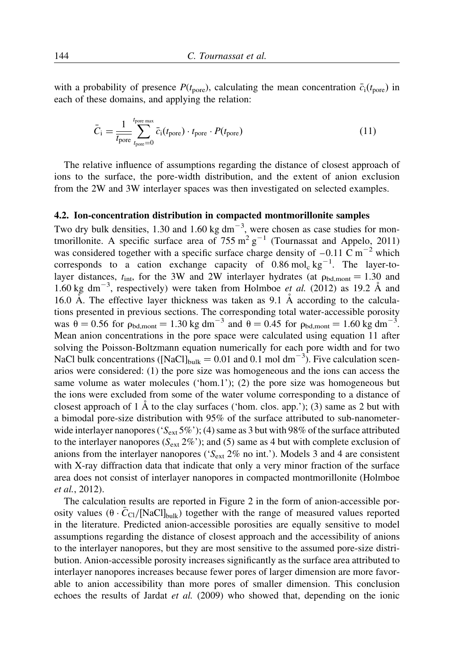with a probability of presence  $P(t_{\text{pore}})$ , calculating the mean concentration  $\bar{c}_i(t_{\text{pore}})$  in each of these domains, and applying the relation:

$$
\bar{C}_{\rm i} = \frac{1}{\bar{t}_{\rm pore}} \sum_{t_{\rm pore}=0}^{t_{\rm pore\,max}} \bar{c}_{\rm i}(t_{\rm pore}) \cdot t_{\rm pore} \cdot P(t_{\rm pore}) \tag{11}
$$

The relative influence of assumptions regarding the distance of closest approach of ions to the surface, the pore-width distribution, and the extent of anion exclusion from the 2W and 3W interlayer spaces was then investigated on selected examples.

### 4.2. Ion-concentration distribution in compacted montmorillonite samples

Two dry bulk densities, 1.30 and 1.60 kg  $dm^{-3}$ , were chosen as case studies for montmorillonite. A specific surface area of  $755 \text{ m}^2 \text{ g}^{-1}$  (Tournassat and Appelo, 2011) was considered together with a specific surface charge density of  $-0.11 \text{ C m}^{-2}$  which corresponds to a cation exchange capacity of  $0.86 \text{ mol}_c \text{ kg}^{-1}$ . The layer-tolayer distances,  $t_{\text{int}}$ , for the 3W and 2W interlayer hydrates (at  $\rho_{\text{bd,mont}} = 1.30$  and 1.60 kg dm<sup>-3</sup>, respectively) were taken from Holmboe et al. (2012) as 19.2  $\AA$  and 16.0 Å. The effective layer thickness was taken as  $9.1\text{ Å}$  according to the calculations presented in previous sections. The corresponding total water-accessible porosity was  $\theta = 0.56$  for  $\rho_{\text{bd,mont}} = 1.30 \text{ kg dm}^{-3}$  and  $\theta = 0.45$  for  $\rho_{\text{bd,mont}} = 1.60 \text{ kg dm}^{-3}$ . Mean anion concentrations in the pore space were calculated using equation 11 after solving the Poisson-Boltzmann equation numerically for each pore width and for two NaCl bulk concentrations ([NaCl]<sub>bulk</sub> = 0.01 and 0.1 mol dm<sup>-3</sup>). Five calculation scenarios were considered: (1) the pore size was homogeneous and the ions can access the same volume as water molecules ('hom.1'); (2) the pore size was homogeneous but the ions were excluded from some of the water volume corresponding to a distance of closest approach of 1  $\AA$  to the clay surfaces ('hom. clos. app.'); (3) same as 2 but with a bimodal pore-size distribution with 95% of the surface attributed to sub-nanometerwide interlayer nanopores ( $S_{ext}$  5%'); (4) same as 3 but with 98% of the surface attributed to the interlayer nanopores ( $S_{ext}$  2%'); and (5) same as 4 but with complete exclusion of anions from the interlayer nanopores ( $S_{ext}$  2% no int.'). Models 3 and 4 are consistent with X-ray diffraction data that indicate that only a very minor fraction of the surface area does not consist of interlayer nanopores in compacted montmorillonite (Holmboe et al., 2012).

The calculation results are reported in Figure 2 in the form of anion-accessible porosity values  $(\theta \cdot \bar{C}_{\text{Cl}}/[\text{NaCl}]_{\text{bulk}})$  together with the range of measured values reported in the literature. Predicted anion-accessible porosities are equally sensitive to model assumptions regarding the distance of closest approach and the accessibility of anions to the interlayer nanopores, but they are most sensitive to the assumed pore-size distribution. Anion-accessible porosity increases significantly as the surface area attributed to interlayer nanopores increases because fewer pores of larger dimension are more favorable to anion accessibility than more pores of smaller dimension. This conclusion echoes the results of Jardat et al. (2009) who showed that, depending on the ionic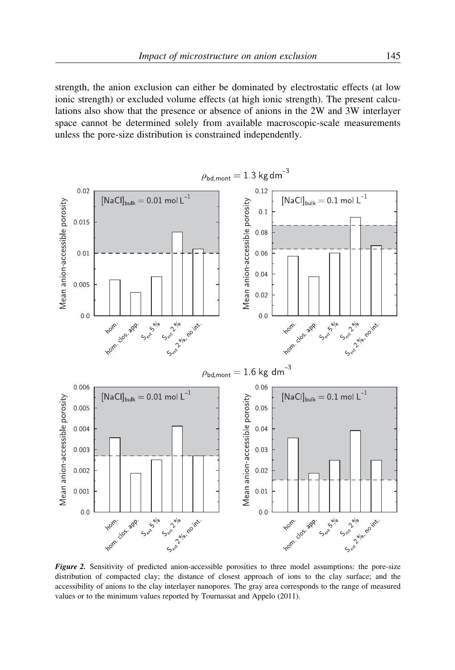strength, the anion exclusion can either be dominated by electrostatic effects (at low ionic strength) or excluded volume effects (at high ionic strength). The present calculations also show that the presence or absence of anions in the 2W and 3W interlayer space cannot be determined solely from available macroscopic-scale measurements unless the pore-size distribution is constrained independently.



Figure 2. Sensitivity of predicted anion-accessible porosities to three model assumptions: the pore-size distribution of compacted clay; the distance of closest approach of ions to the clay surface; and the accessibility of anions to the clay interlayer nanopores. The gray area corresponds to the range of measured values or to the minimum values reported by Tournassat and Appelo (2011).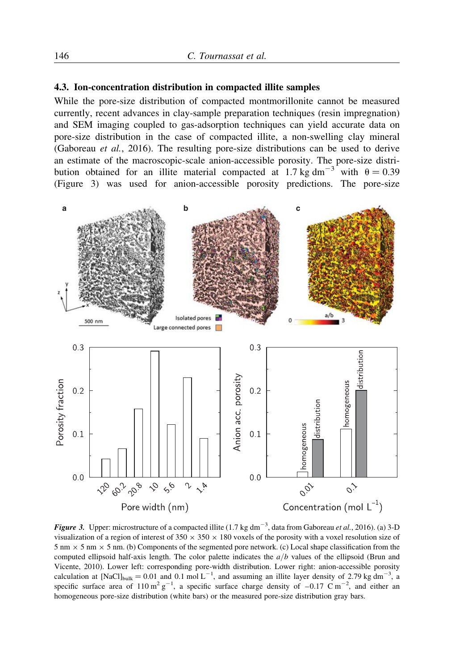#### 4.3. Ion-concentration distribution in compacted illite samples

While the pore-size distribution of compacted montmorillonite cannot be measured currently, recent advances in clay-sample preparation techniques (resin impregnation) and SEM imaging coupled to gas-adsorption techniques can yield accurate data on pore-size distribution in the case of compacted illite, a non-swelling clay mineral (Gaboreau et al., 2016). The resulting pore-size distributions can be used to derive an estimate of the macroscopic-scale anion-accessible porosity. The pore-size distribution obtained for an illite material compacted at 1.7 kg dm<sup>-3</sup> with  $\theta = 0.39$ (Figure 3) was used for anion-accessible porosity predictions. The pore-size



Figure 3. Upper: microstructure of a compacted illite (1.7 kg dm<sup>-3</sup>, data from Gaboreau et al., 2016). (a) 3-D visualization of a region of interest of  $350 \times 350 \times 180$  voxels of the porosity with a voxel resolution size of  $5 \text{ nm} \times 5 \text{ nm} \times 5 \text{ nm}$ . (b) Components of the segmented pore network. (c) Local shape classification from the computed ellipsoid half-axis length. The color palette indicates the  $a/b$  values of the ellipsoid (Brun and Vicente, 2010). Lower left: corresponding pore-width distribution. Lower right: anion-accessible porosity calculation at [NaCl]<sub>bulk</sub> = 0.01 and 0.1 mol L<sup>-1</sup>, and assuming an illite layer density of 2.79 kg dm<sup>-3</sup>, a specific surface area of  $110 \text{ m}^2 \text{ g}^{-1}$ , a specific surface charge density of  $-0.17 \text{ C m}^{-2}$ , and either an homogeneous pore-size distribution (white bars) or the measured pore-size distribution gray bars.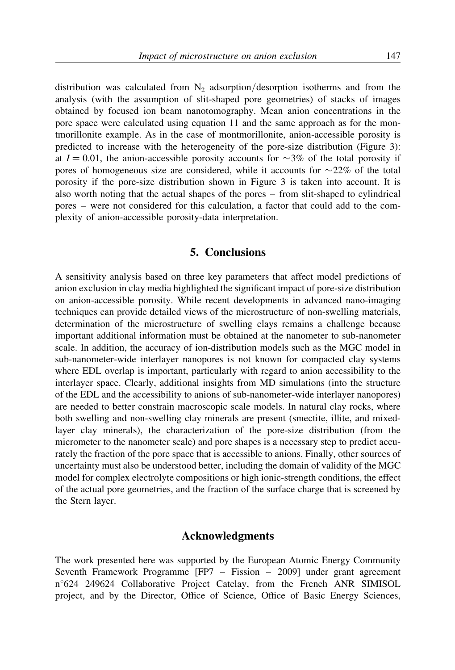distribution was calculated from  $N_2$  adsorption/desorption isotherms and from the analysis (with the assumption of slit-shaped pore geometries) of stacks of images obtained by focused ion beam nanotomography. Mean anion concentrations in the pore space were calculated using equation 11 and the same approach as for the montmorillonite example. As in the case of montmorillonite, anion-accessible porosity is predicted to increase with the heterogeneity of the pore-size distribution (Figure 3): at  $I = 0.01$ , the anion-accessible porosity accounts for  $\sim 3\%$  of the total porosity if pores of homogeneous size are considered, while it accounts for  $\sim$ 22% of the total porosity if the pore-size distribution shown in Figure 3 is taken into account. It is also worth noting that the actual shapes of the pores – from slit-shaped to cylindrical pores – were not considered for this calculation, a factor that could add to the complexity of anion-accessible porosity-data interpretation.

# 5. Conclusions

A sensitivity analysis based on three key parameters that affect model predictions of anion exclusion in clay media highlighted the significant impact of pore-size distribution on anion-accessible porosity. While recent developments in advanced nano-imaging techniques can provide detailed views of the microstructure of non-swelling materials, determination of the microstructure of swelling clays remains a challenge because important additional information must be obtained at the nanometer to sub-nanometer scale. In addition, the accuracy of ion-distribution models such as the MGC model in sub-nanometer-wide interlayer nanopores is not known for compacted clay systems where EDL overlap is important, particularly with regard to anion accessibility to the interlayer space. Clearly, additional insights from MD simulations (into the structure of the EDL and the accessibility to anions of sub-nanometer-wide interlayer nanopores) are needed to better constrain macroscopic scale models. In natural clay rocks, where both swelling and non-swelling clay minerals are present (smectite, illite, and mixedlayer clay minerals), the characterization of the pore-size distribution (from the micrometer to the nanometer scale) and pore shapes is a necessary step to predict accurately the fraction of the pore space that is accessible to anions. Finally, other sources of uncertainty must also be understood better, including the domain of validity of the MGC model for complex electrolyte compositions or high ionic-strength conditions, the effect of the actual pore geometries, and the fraction of the surface charge that is screened by the Stern layer.

### Acknowledgments

The work presented here was supported by the European Atomic Energy Community Seventh Framework Programme [FP7 – Fission – 2009] under grant agreement n°624 249624 Collaborative Project Catclay, from the French ANR SIMISOL project, and by the Director, Office of Science, Office of Basic Energy Sciences,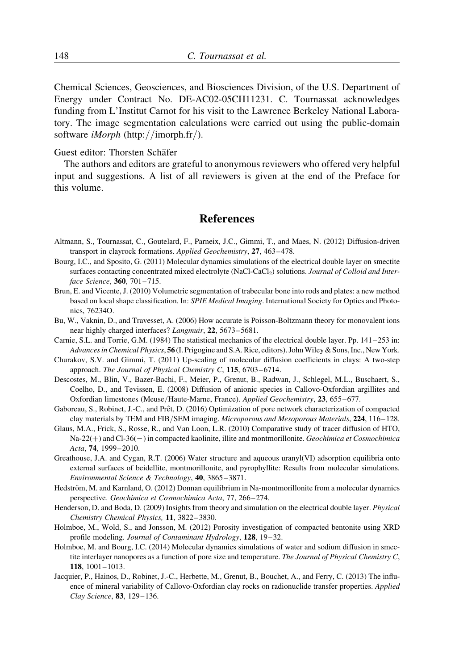Chemical Sciences, Geosciences, and Biosciences Division, of the U.S. Department of Energy under Contract No. DE-AC02-05CH11231. C. Tournassat acknowledges funding from L'Institut Carnot for his visit to the Lawrence Berkeley National Laboratory. The image segmentation calculations were carried out using the public-domain software iMorph (http://imorph.fr/).

### Guest editor: Thorsten Schäfer

The authors and editors are grateful to anonymous reviewers who offered very helpful input and suggestions. A list of all reviewers is given at the end of the Preface for this volume.

## References

- Altmann, S., Tournassat, C., Goutelard, F., Parneix, J.C., Gimmi, T., and Maes, N. (2012) Diffusion-driven transport in clayrock formations. Applied Geochemistry, 27, 463–478.
- Bourg, I.C., and Sposito, G. (2011) Molecular dynamics simulations of the electrical double layer on smectite surfaces contacting concentrated mixed electrolyte (NaCl-CaCl<sub>2</sub>) solutions. Journal of Colloid and Interface Science, 360, 701–715.
- Brun, E. and Vicente, J. (2010) Volumetric segmentation of trabecular bone into rods and plates: a new method based on local shape classification. In: SPIE Medical Imaging. International Society for Optics and Photonics, 76234O.
- Bu, W., Vaknin, D., and Travesset, A. (2006) How accurate is Poisson-Boltzmann theory for monovalent ions near highly charged interfaces? Langmuir, 22, 5673–5681.
- Carnie, S.L. and Torrie, G.M. (1984) The statistical mechanics of the electrical double layer. Pp. 141–253 in: Advances in Chemical Physics, 56 (I. Prigogine and S.A. Rice, editors). John Wiley & Sons, Inc., New York.
- Churakov, S.V. and Gimmi, T. (2011) Up-scaling of molecular diffusion coefficients in clays: A two-step approach. The Journal of Physical Chemistry C, 115, 6703–6714.
- Descostes, M., Blin, V., Bazer-Bachi, F., Meier, P., Grenut, B., Radwan, J., Schlegel, M.L., Buschaert, S., Coelho, D., and Tevissen, E. (2008) Diffusion of anionic species in Callovo-Oxfordian argillites and Oxfordian limestones (Meuse/Haute-Marne, France). Applied Geochemistry, 23, 655–677.
- Gaboreau, S., Robinet, J.-C., and Prêt, D. (2016) Optimization of pore network characterization of compacted clay materials by TEM and FIB/SEM imaging. Microporous and Mesoporous Materials, 224, 116–128.
- Glaus, M.A., Frick, S., Rosse, R., and Van Loon, L.R. (2010) Comparative study of tracer diffusion of HTO,  $Na-22(+)$  and Cl-36(-) in compacted kaolinite, illite and montmorillonite. Geochimica et Cosmochimica Acta, 74, 1999–2010.
- Greathouse, J.A. and Cygan, R.T. (2006) Water structure and aqueous uranyl(VI) adsorption equilibria onto external surfaces of beidellite, montmorillonite, and pyrophyllite: Results from molecular simulations. Environmental Science & Technology, 40, 3865–3871.
- Hedström, M. and Karnland, O. (2012) Donnan equilibrium in Na-montmorillonite from a molecular dynamics perspective. Geochimica et Cosmochimica Acta, 77, 266–274.
- Henderson, D. and Boda, D. (2009) Insights from theory and simulation on the electrical double layer. Physical Chemistry Chemical Physics, 11, 3822–3830.
- Holmboe, M., Wold, S., and Jonsson, M. (2012) Porosity investigation of compacted bentonite using XRD profile modeling. Journal of Contaminant Hydrology, 128, 19–32.
- Holmboe, M. and Bourg, I.C. (2014) Molecular dynamics simulations of water and sodium diffusion in smectite interlayer nanopores as a function of pore size and temperature. The Journal of Physical Chemistry C, 118, 1001–1013.
- Jacquier, P., Hainos, D., Robinet, J.-C., Herbette, M., Grenut, B., Bouchet, A., and Ferry, C. (2013) The influence of mineral variability of Callovo-Oxfordian clay rocks on radionuclide transfer properties. Applied Clay Science, 83, 129–136.